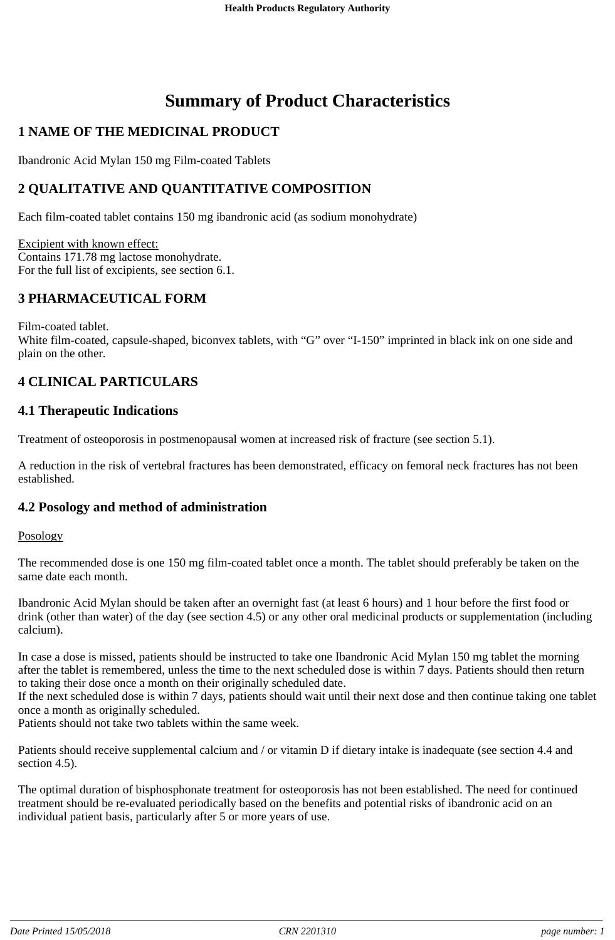# **Summary of Product Characteristics**

## **1 NAME OF THE MEDICINAL PRODUCT**

Ibandronic Acid Mylan 150 mg Film-coated Tablets

## **2 QUALITATIVE AND QUANTITATIVE COMPOSITION**

Each film-coated tablet contains 150 mg ibandronic acid (as sodium monohydrate)

Excipient with known effect: Contains 171.78 mg lactose monohydrate. For the full list of excipients, see section 6.1.

## **3 PHARMACEUTICAL FORM**

Film-coated tablet. White film-coated, capsule-shaped, biconvex tablets, with "G" over "I-150" imprinted in black ink on one side and plain on the other.

## **4 CLINICAL PARTICULARS**

## **4.1 Therapeutic Indications**

Treatment of osteoporosis in postmenopausal women at increased risk of fracture (see section 5.1).

A reduction in the risk of vertebral fractures has been demonstrated, efficacy on femoral neck fractures has not been established.

## **4.2 Posology and method of administration**

### Posology

The recommended dose is one 150 mg film-coated tablet once a month. The tablet should preferably be taken on the same date each month.

Ibandronic Acid Mylan should be taken after an overnight fast (at least 6 hours) and 1 hour before the first food or drink (other than water) of the day (see section 4.5) or any other oral medicinal products or supplementation (including calcium).

In case a dose is missed, patients should be instructed to take one Ibandronic Acid Mylan 150 mg tablet the morning after the tablet is remembered, unless the time to the next scheduled dose is within 7 days. Patients should then return to taking their dose once a month on their originally scheduled date.

If the next scheduled dose is within 7 days, patients should wait until their next dose and then continue taking one tablet once a month as originally scheduled.

Patients should not take two tablets within the same week.

Patients should receive supplemental calcium and / or vitamin D if dietary intake is inadequate (see section 4.4 and section 4.5).

The optimal duration of bisphosphonate treatment for osteoporosis has not been established. The need for continued treatment should be re-evaluated periodically based on the benefits and potential risks of ibandronic acid on an individual patient basis, particularly after 5 or more years of use.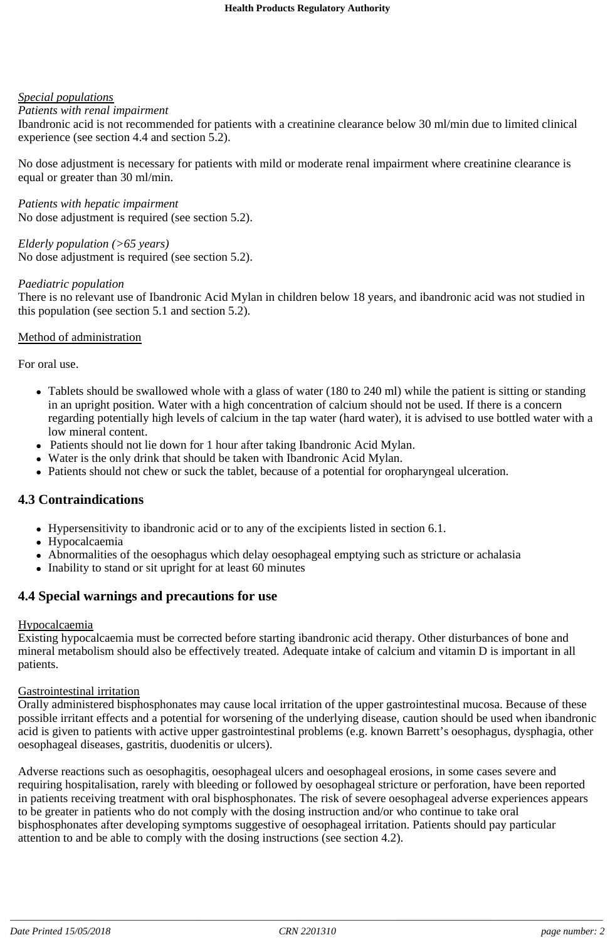### *Special populations*

### *Patients with renal impairment*

Ibandronic acid is not recommended for patients with a creatinine clearance below 30 ml/min due to limited clinical experience (see section 4.4 and section 5.2).

No dose adjustment is necessary for patients with mild or moderate renal impairment where creatinine clearance is equal or greater than 30 ml/min.

*Patients with hepatic impairment* No dose adjustment is required (see section 5.2).

*Elderly population (>65 years)* No dose adjustment is required (see section 5.2).

### *Paediatric population*

There is no relevant use of Ibandronic Acid Mylan in children below 18 years, and ibandronic acid was not studied in this population (see section 5.1 and section 5.2).

### Method of administration

For oral use.

- Tablets should be swallowed whole with a glass of water (180 to 240 ml) while the patient is sitting or standing in an upright position. Water with a high concentration of calcium should not be used. If there is a concern regarding potentially high levels of calcium in the tap water (hard water), it is advised to use bottled water with a low mineral content.
- Patients should not lie down for 1 hour after taking Ibandronic Acid Mylan.
- Water is the only drink that should be taken with Ibandronic Acid Mylan.
- Patients should not chew or suck the tablet, because of a potential for oropharyngeal ulceration.

## **4.3 Contraindications**

- Hypersensitivity to ibandronic acid or to any of the excipients listed in section 6.1.
- Hypocalcaemia
- Abnormalities of the oesophagus which delay oesophageal emptying such as stricture or achalasia
- Inability to stand or sit upright for at least 60 minutes

## **4.4 Special warnings and precautions for use**

### Hypocalcaemia

Existing hypocalcaemia must be corrected before starting ibandronic acid therapy. Other disturbances of bone and mineral metabolism should also be effectively treated. Adequate intake of calcium and vitamin D is important in all patients.

### Gastrointestinal irritation

Orally administered bisphosphonates may cause local irritation of the upper gastrointestinal mucosa. Because of these possible irritant effects and a potential for worsening of the underlying disease, caution should be used when ibandronic acid is given to patients with active upper gastrointestinal problems (e.g. known Barrett's oesophagus, dysphagia, other oesophageal diseases, gastritis, duodenitis or ulcers).

Adverse reactions such as oesophagitis, oesophageal ulcers and oesophageal erosions, in some cases severe and requiring hospitalisation, rarely with bleeding or followed by oesophageal stricture or perforation, have been reported in patients receiving treatment with oral bisphosphonates. The risk of severe oesophageal adverse experiences appears to be greater in patients who do not comply with the dosing instruction and/or who continue to take oral bisphosphonates after developing symptoms suggestive of oesophageal irritation. Patients should pay particular attention to and be able to comply with the dosing instructions (see section 4.2).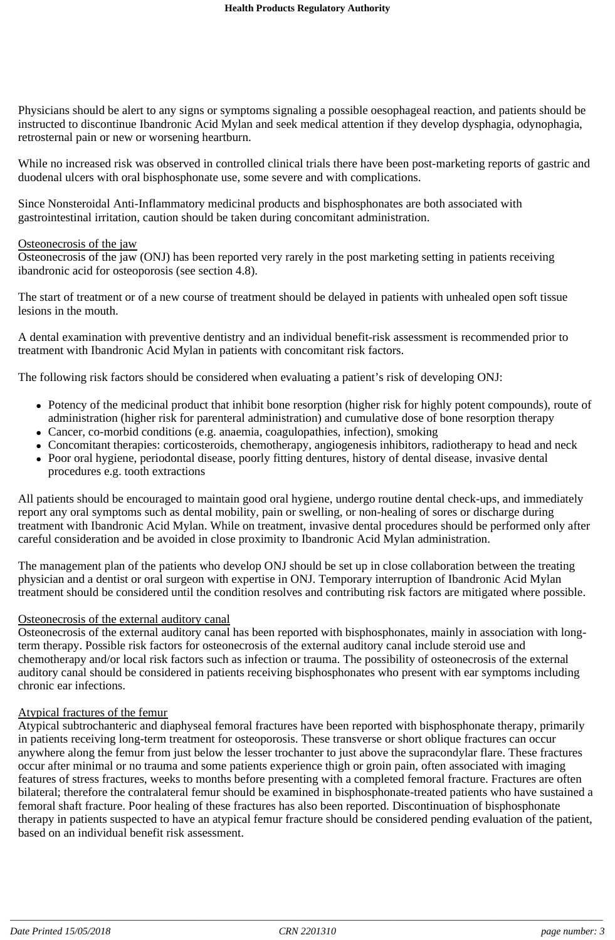Physicians should be alert to any signs or symptoms signaling a possible oesophageal reaction, and patients should be instructed to discontinue Ibandronic Acid Mylan and seek medical attention if they develop dysphagia, odynophagia, retrosternal pain or new or worsening heartburn.

While no increased risk was observed in controlled clinical trials there have been post-marketing reports of gastric and duodenal ulcers with oral bisphosphonate use, some severe and with complications.

Since Nonsteroidal Anti-Inflammatory medicinal products and bisphosphonates are both associated with gastrointestinal irritation, caution should be taken during concomitant administration.

#### Osteonecrosis of the jaw

Osteonecrosis of the jaw (ONJ) has been reported very rarely in the post marketing setting in patients receiving ibandronic acid for osteoporosis (see section 4.8).

The start of treatment or of a new course of treatment should be delayed in patients with unhealed open soft tissue lesions in the mouth.

A dental examination with preventive dentistry and an individual benefit-risk assessment is recommended prior to treatment with Ibandronic Acid Mylan in patients with concomitant risk factors.

The following risk factors should be considered when evaluating a patient's risk of developing ONJ:

- Potency of the medicinal product that inhibit bone resorption (higher risk for highly potent compounds), route of administration (higher risk for parenteral administration) and cumulative dose of bone resorption therapy
- Cancer, co-morbid conditions (e.g. anaemia, coagulopathies, infection), smoking
- Concomitant therapies: corticosteroids, chemotherapy, angiogenesis inhibitors, radiotherapy to head and neck
- Poor oral hygiene, periodontal disease, poorly fitting dentures, history of dental disease, invasive dental procedures e.g. tooth extractions

All patients should be encouraged to maintain good oral hygiene, undergo routine dental check-ups, and immediately report any oral symptoms such as dental mobility, pain or swelling, or non-healing of sores or discharge during treatment with Ibandronic Acid Mylan. While on treatment, invasive dental procedures should be performed only after careful consideration and be avoided in close proximity to Ibandronic Acid Mylan administration.

The management plan of the patients who develop ONJ should be set up in close collaboration between the treating physician and a dentist or oral surgeon with expertise in ONJ. Temporary interruption of Ibandronic Acid Mylan treatment should be considered until the condition resolves and contributing risk factors are mitigated where possible.

#### Osteonecrosis of the external auditory canal

Osteonecrosis of the external auditory canal has been reported with bisphosphonates, mainly in association with longterm therapy. Possible risk factors for osteonecrosis of the external auditory canal include steroid use and chemotherapy and/or local risk factors such as infection or trauma. The possibility of osteonecrosis of the external auditory canal should be considered in patients receiving bisphosphonates who present with ear symptoms including chronic ear infections.

#### Atypical fractures of the femur

Atypical subtrochanteric and diaphyseal femoral fractures have been reported with bisphosphonate therapy, primarily in patients receiving long-term treatment for osteoporosis. These transverse or short oblique fractures can occur anywhere along the femur from just below the lesser trochanter to just above the supracondylar flare. These fractures occur after minimal or no trauma and some patients experience thigh or groin pain, often associated with imaging features of stress fractures, weeks to months before presenting with a completed femoral fracture. Fractures are often bilateral; therefore the contralateral femur should be examined in bisphosphonate-treated patients who have sustained a femoral shaft fracture. Poor healing of these fractures has also been reported. Discontinuation of bisphosphonate therapy in patients suspected to have an atypical femur fracture should be considered pending evaluation of the patient, based on an individual benefit risk assessment.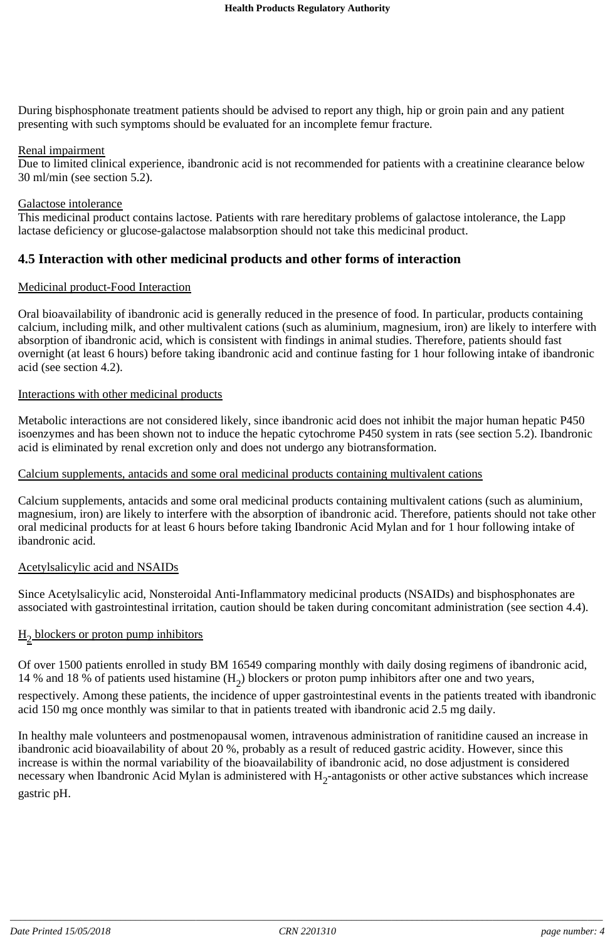During bisphosphonate treatment patients should be advised to report any thigh, hip or groin pain and any patient presenting with such symptoms should be evaluated for an incomplete femur fracture.

### Renal impairment

Due to limited clinical experience, ibandronic acid is not recommended for patients with a creatinine clearance below 30 ml/min (see section 5.2).

#### Galactose intolerance

This medicinal product contains lactose. Patients with rare hereditary problems of galactose intolerance, the Lapp lactase deficiency or glucose-galactose malabsorption should not take this medicinal product.

### **4.5 Interaction with other medicinal products and other forms of interaction**

#### Medicinal product-Food Interaction

Oral bioavailability of ibandronic acid is generally reduced in the presence of food. In particular, products containing calcium, including milk, and other multivalent cations (such as aluminium, magnesium, iron) are likely to interfere with absorption of ibandronic acid, which is consistent with findings in animal studies. Therefore, patients should fast overnight (at least 6 hours) before taking ibandronic acid and continue fasting for 1 hour following intake of ibandronic acid (see section 4.2).

#### Interactions with other medicinal products

Metabolic interactions are not considered likely, since ibandronic acid does not inhibit the major human hepatic P450 isoenzymes and has been shown not to induce the hepatic cytochrome P450 system in rats (see section 5.2). Ibandronic acid is eliminated by renal excretion only and does not undergo any biotransformation.

#### Calcium supplements, antacids and some oral medicinal products containing multivalent cations

Calcium supplements, antacids and some oral medicinal products containing multivalent cations (such as aluminium, magnesium, iron) are likely to interfere with the absorption of ibandronic acid. Therefore, patients should not take other oral medicinal products for at least 6 hours before taking Ibandronic Acid Mylan and for 1 hour following intake of ibandronic acid.

### Acetylsalicylic acid and NSAIDs

Since Acetylsalicylic acid, Nonsteroidal Anti-Inflammatory medicinal products (NSAIDs) and bisphosphonates are associated with gastrointestinal irritation, caution should be taken during concomitant administration (see section 4.4).

### $H<sub>2</sub>$  blockers or proton pump inhibitors

Of over 1500 patients enrolled in study BM 16549 comparing monthly with daily dosing regimens of ibandronic acid, 14 % and 18 % of patients used histamine  $(H_2)$  blockers or proton pump inhibitors after one and two years, respectively. Among these patients, the incidence of upper gastrointestinal events in the patients treated with ibandronic

acid 150 mg once monthly was similar to that in patients treated with ibandronic acid 2.5 mg daily.

In healthy male volunteers and postmenopausal women, intravenous administration of ranitidine caused an increase in ibandronic acid bioavailability of about 20 %, probably as a result of reduced gastric acidity. However, since this increase is within the normal variability of the bioavailability of ibandronic acid, no dose adjustment is considered necessary when Ibandronic Acid Mylan is administered with  $H_2$ -antagonists or other active substances which increase gastric pH.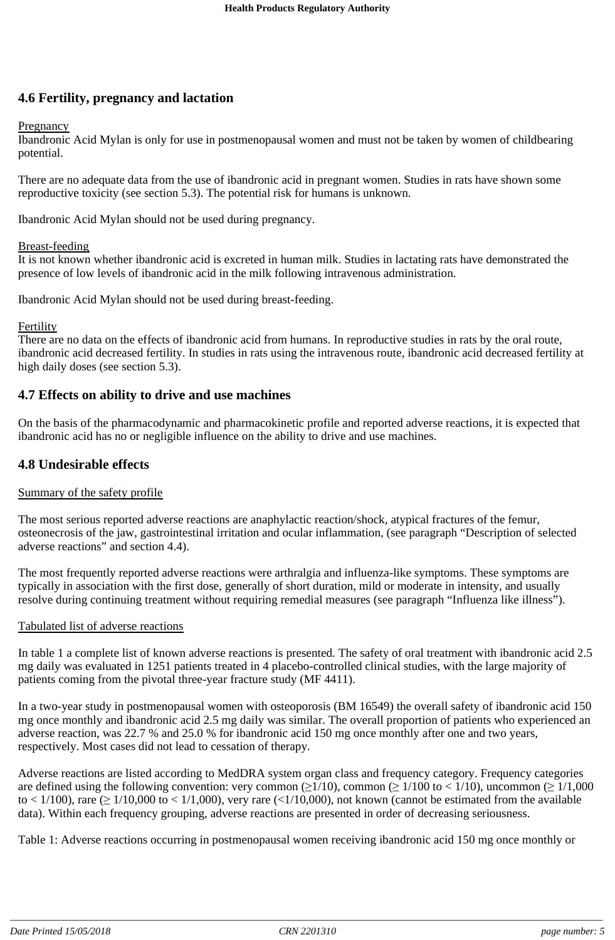## **4.6 Fertility, pregnancy and lactation**

#### Pregnancy

Ibandronic Acid Mylan is only for use in postmenopausal women and must not be taken by women of childbearing potential.

There are no adequate data from the use of ibandronic acid in pregnant women. Studies in rats have shown some reproductive toxicity (see section 5.3). The potential risk for humans is unknown.

Ibandronic Acid Mylan should not be used during pregnancy.

#### Breast-feeding

It is not known whether ibandronic acid is excreted in human milk. Studies in lactating rats have demonstrated the presence of low levels of ibandronic acid in the milk following intravenous administration.

Ibandronic Acid Mylan should not be used during breast-feeding.

#### Fertility

There are no data on the effects of ibandronic acid from humans. In reproductive studies in rats by the oral route, ibandronic acid decreased fertility. In studies in rats using the intravenous route, ibandronic acid decreased fertility at high daily doses (see section 5.3).

### **4.7 Effects on ability to drive and use machines**

On the basis of the pharmacodynamic and pharmacokinetic profile and reported adverse reactions, it is expected that ibandronic acid has no or negligible influence on the ability to drive and use machines.

### **4.8 Undesirable effects**

### Summary of the safety profile

The most serious reported adverse reactions are anaphylactic reaction/shock, atypical fractures of the femur, osteonecrosis of the jaw, gastrointestinal irritation and ocular inflammation, (see paragraph "Description of selected adverse reactions" and section 4.4).

The most frequently reported adverse reactions were arthralgia and influenza-like symptoms. These symptoms are typically in association with the first dose, generally of short duration, mild or moderate in intensity, and usually resolve during continuing treatment without requiring remedial measures (see paragraph "Influenza like illness").

### Tabulated list of adverse reactions

In table 1 a complete list of known adverse reactions is presented. The safety of oral treatment with ibandronic acid 2.5 mg daily was evaluated in 1251 patients treated in 4 placebo-controlled clinical studies, with the large majority of patients coming from the pivotal three-year fracture study (MF 4411).

In a two-year study in postmenopausal women with osteoporosis (BM 16549) the overall safety of ibandronic acid 150 mg once monthly and ibandronic acid 2.5 mg daily was similar. The overall proportion of patients who experienced an adverse reaction, was 22.7 % and 25.0 % for ibandronic acid 150 mg once monthly after one and two years, respectively. Most cases did not lead to cessation of therapy.

Adverse reactions are listed according to MedDRA system organ class and frequency category. Frequency categories are defined using the following convention: very common ( $\geq 1/10$ ), common ( $\geq 1/100$  to  $\lt 1/10$ ), uncommon ( $\geq 1/1,000$ to < 1/100), rare  $( \ge 1/10,000$  to < 1/1,000), very rare (<1/10,000), not known (cannot be estimated from the available data). Within each frequency grouping, adverse reactions are presented in order of decreasing seriousness.

Table 1: Adverse reactions occurring in postmenopausal women receiving ibandronic acid 150 mg once monthly or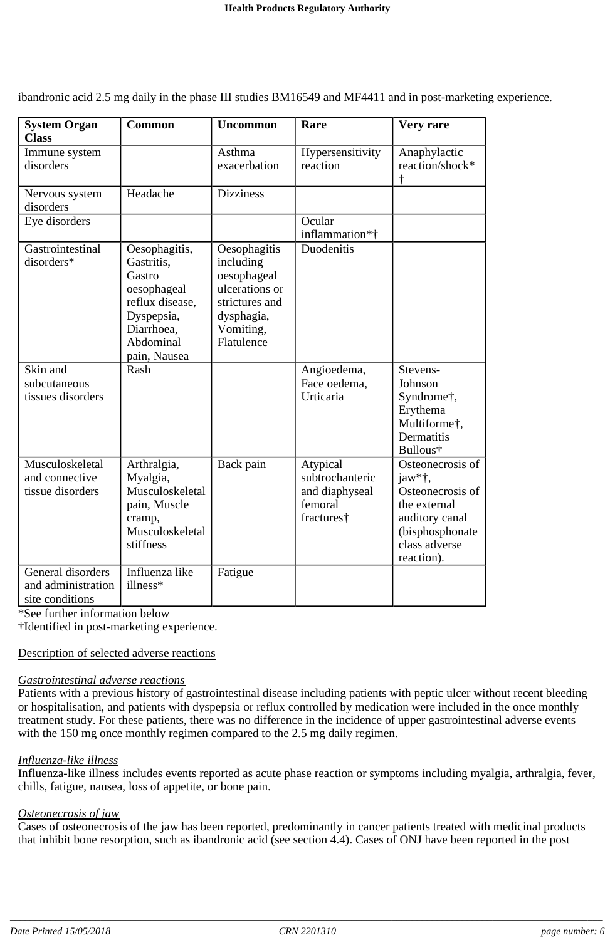| <b>System Organ</b><br><b>Class</b>                        | <b>Common</b>                                                                                                                    | <b>Uncommon</b>                                                                                                       | Rare                                                                   | Very rare                                                                                                                          |
|------------------------------------------------------------|----------------------------------------------------------------------------------------------------------------------------------|-----------------------------------------------------------------------------------------------------------------------|------------------------------------------------------------------------|------------------------------------------------------------------------------------------------------------------------------------|
| Immune system<br>disorders                                 |                                                                                                                                  | Asthma<br>exacerbation                                                                                                | Hypersensitivity<br>reaction                                           | Anaphylactic<br>reaction/shock*<br>$\dagger$                                                                                       |
| Nervous system<br>disorders                                | Headache                                                                                                                         | <b>Dizziness</b>                                                                                                      |                                                                        |                                                                                                                                    |
| Eye disorders                                              |                                                                                                                                  |                                                                                                                       | Ocular<br>inflammation*†                                               |                                                                                                                                    |
| Gastrointestinal<br>disorders*                             | Oesophagitis,<br>Gastritis,<br>Gastro<br>oesophageal<br>reflux disease,<br>Dyspepsia,<br>Diarrhoea,<br>Abdominal<br>pain, Nausea | Oesophagitis<br>including<br>oesophageal<br>ulcerations or<br>strictures and<br>dysphagia,<br>Vomiting,<br>Flatulence | Duodenitis                                                             |                                                                                                                                    |
| Skin and<br>subcutaneous<br>tissues disorders              | Rash                                                                                                                             |                                                                                                                       | Angioedema,<br>Face oedema,<br>Urticaria                               | Stevens-<br>Johnson<br>Syndrome†,<br>Erythema<br>Multiforme <sup>†</sup> ,<br>Dermatitis<br>Bullous†                               |
| Musculoskeletal<br>and connective<br>tissue disorders      | Arthralgia,<br>Myalgia,<br>Musculoskeletal<br>pain, Muscle<br>cramp,<br>Musculoskeletal<br>stiffness                             | Back pain                                                                                                             | Atypical<br>subtrochanteric<br>and diaphyseal<br>femoral<br>fractures† | Osteonecrosis of<br>jaw*†,<br>Osteonecrosis of<br>the external<br>auditory canal<br>(bisphosphonate<br>class adverse<br>reaction). |
| General disorders<br>and administration<br>site conditions | Influenza like<br>illness*                                                                                                       | Fatigue                                                                                                               |                                                                        |                                                                                                                                    |

ibandronic acid 2.5 mg daily in the phase III studies BM16549 and MF4411 and in post-marketing experience.

\*See further information below

†Identified in post-marketing experience.

### Description of selected adverse reactions

#### *Gastrointestinal adverse reactions*

Patients with a previous history of gastrointestinal disease including patients with peptic ulcer without recent bleeding or hospitalisation, and patients with dyspepsia or reflux controlled by medication were included in the once monthly treatment study. For these patients, there was no difference in the incidence of upper gastrointestinal adverse events with the 150 mg once monthly regimen compared to the 2.5 mg daily regimen.

### *Influenza-like illness*

Influenza-like illness includes events reported as acute phase reaction or symptoms including myalgia, arthralgia, fever, chills, fatigue, nausea, loss of appetite, or bone pain.

### *Osteonecrosis of jaw*

Cases of osteonecrosis of the jaw has been reported, predominantly in cancer patients treated with medicinal products that inhibit bone resorption, such as ibandronic acid (see section 4.4). Cases of ONJ have been reported in the post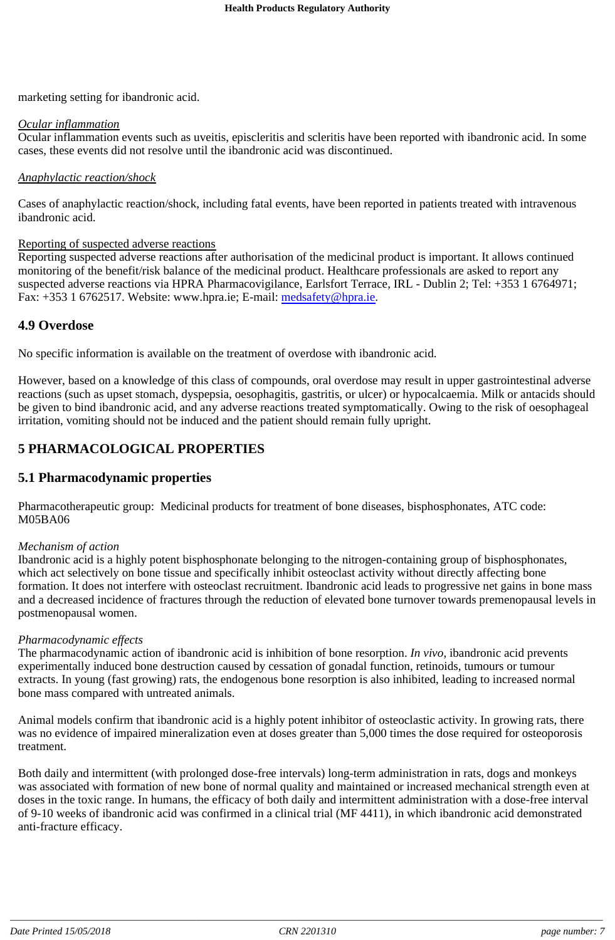marketing setting for ibandronic acid.

### *Ocular inflammation*

Ocular inflammation events such as uveitis, episcleritis and scleritis have been reported with ibandronic acid. In some cases, these events did not resolve until the ibandronic acid was discontinued.

### *Anaphylactic reaction/shock*

Cases of anaphylactic reaction/shock, including fatal events, have been reported in patients treated with intravenous ibandronic acid.

### Reporting of suspected adverse reactions

Reporting suspected adverse reactions after authorisation of the medicinal product is important. It allows continued monitoring of the benefit/risk balance of the medicinal product. Healthcare professionals are asked to report any suspected adverse reactions via HPRA Pharmacovigilance, Earlsfort Terrace, IRL - Dublin 2; Tel: +353 1 6764971; Fax: +353 1 6762517. Website: www.hpra.ie; E-mail: medsafety@hpra.ie.

## **4.9 Overdose**

No specific information is available on the treatment of overdose with ibandronic acid.

However, based on a knowledge of this class of compounds, oral overdose may result in upper gastrointestinal adverse reactions (such as upset stomach, dyspepsia, oesophagitis, gastritis, or ulcer) or hypocalcaemia. Milk or antacids should be given to bind ibandronic acid, and any adverse reactions treated symptomatically. Owing to the risk of oesophageal irritation, vomiting should not be induced and the patient should remain fully upright.

## **5 PHARMACOLOGICAL PROPERTIES**

## **5.1 Pharmacodynamic properties**

Pharmacotherapeutic group: Medicinal products for treatment of bone diseases, bisphosphonates, ATC code: M05BA06

### *Mechanism of action*

Ibandronic acid is a highly potent bisphosphonate belonging to the nitrogen-containing group of bisphosphonates, which act selectively on bone tissue and specifically inhibit osteoclast activity without directly affecting bone formation. It does not interfere with osteoclast recruitment. Ibandronic acid leads to progressive net gains in bone mass and a decreased incidence of fractures through the reduction of elevated bone turnover towards premenopausal levels in postmenopausal women.

### *Pharmacodynamic effects*

The pharmacodynamic action of ibandronic acid is inhibition of bone resorption. *In vivo*, ibandronic acid prevents experimentally induced bone destruction caused by cessation of gonadal function, retinoids, tumours or tumour extracts. In young (fast growing) rats, the endogenous bone resorption is also inhibited, leading to increased normal bone mass compared with untreated animals.

Animal models confirm that ibandronic acid is a highly potent inhibitor of osteoclastic activity. In growing rats, there was no evidence of impaired mineralization even at doses greater than 5,000 times the dose required for osteoporosis treatment.

Both daily and intermittent (with prolonged dose-free intervals) long-term administration in rats, dogs and monkeys was associated with formation of new bone of normal quality and maintained or increased mechanical strength even at doses in the toxic range. In humans, the efficacy of both daily and intermittent administration with a dose-free interval of 9-10 weeks of ibandronic acid was confirmed in a clinical trial (MF 4411), in which ibandronic acid demonstrated anti-fracture efficacy.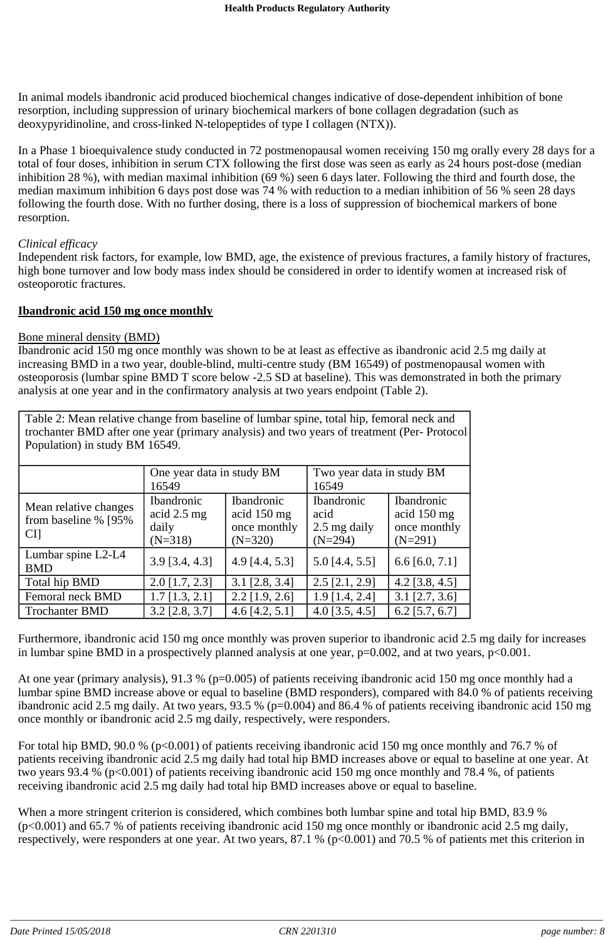In animal models ibandronic acid produced biochemical changes indicative of dose-dependent inhibition of bone resorption, including suppression of urinary biochemical markers of bone collagen degradation (such as deoxypyridinoline, and cross-linked N-telopeptides of type I collagen (NTX)).

In a Phase 1 bioequivalence study conducted in 72 postmenopausal women receiving 150 mg orally every 28 days for a total of four doses, inhibition in serum CTX following the first dose was seen as early as 24 hours post-dose (median inhibition 28 %), with median maximal inhibition (69 %) seen 6 days later. Following the third and fourth dose, the median maximum inhibition 6 days post dose was 74 % with reduction to a median inhibition of 56 % seen 28 days following the fourth dose. With no further dosing, there is a loss of suppression of biochemical markers of bone resorption.

### *Clinical efficacy*

Independent risk factors, for example, low BMD, age, the existence of previous fractures, a family history of fractures, high bone turnover and low body mass index should be considered in order to identify women at increased risk of osteoporotic fractures.

#### **Ibandronic acid 150 mg once monthly**

#### Bone mineral density (BMD)

Ibandronic acid 150 mg once monthly was shown to be at least as effective as ibandronic acid 2.5 mg daily at increasing BMD in a two year, double-blind, multi-centre study (BM 16549) of postmenopausal women with osteoporosis (lumbar spine BMD T score below -2.5 SD at baseline). This was demonstrated in both the primary analysis at one year and in the confirmatory analysis at two years endpoint (Table 2).

| Table 2: Mean relative change from baseline of lumbar spine, total hip, femoral neck and<br>trochanter BMD after one year (primary analysis) and two years of treatment (Per-Protocol<br>Population) in study BM 16549. |                                                          |                                                               |                                                        |                                                               |
|-------------------------------------------------------------------------------------------------------------------------------------------------------------------------------------------------------------------------|----------------------------------------------------------|---------------------------------------------------------------|--------------------------------------------------------|---------------------------------------------------------------|
|                                                                                                                                                                                                                         | One year data in study BM<br>16549                       |                                                               | Two year data in study BM<br>16549                     |                                                               |
| Mean relative changes<br>from baseline % [95%]<br><b>CI</b>                                                                                                                                                             | <b>Ibandronic</b><br>acid $2.5$ mg<br>daily<br>$(N=318)$ | <b>Ibandronic</b><br>acid 150 mg<br>once monthly<br>$(N=320)$ | <b>Ibandronic</b><br>acid<br>2.5 mg daily<br>$(N=294)$ | <b>Ibandronic</b><br>acid 150 mg<br>once monthly<br>$(N=291)$ |
| Lumbar spine L2-L4                                                                                                                                                                                                      | 20074421                                                 | $A \cap T A$ $A$ $E$ $21$                                     | $E$ $\cap$ $I$ $A$ $E$ $E$ $I$                         | $C$ $C$ $D$ $D$ $11$                                          |

BMD  $3.9 [3.4, 4.3]$   $4.9 [4.4, 5.3]$   $5.0 [4.4, 5.5]$   $6.6 [6.0, 7.1]$ Total hip BMD 2.0 [1.7, 2.3] 3.1 [2.8, 3.4] 2.5 [2.1, 2.9] 4.2 [3.8, 4.5] Femoral neck BMD 1.7 [1.3, 2.1] 2.2 [1.9, 2.6] 1.9 [1.4, 2.4] 3.1 [2.7, 3.6] Trochanter BMD 3.2 [2.8, 3.7] 4.6 [4.2, 5.1] 4.0 [3.5, 4.5] 6.2 [5.7, 6.7]

Furthermore, ibandronic acid 150 mg once monthly was proven superior to ibandronic acid 2.5 mg daily for increases in lumbar spine BMD in a prospectively planned analysis at one year,  $p=0.002$ , and at two years,  $p<0.001$ .

At one year (primary analysis), 91.3 % (p=0.005) of patients receiving ibandronic acid 150 mg once monthly had a lumbar spine BMD increase above or equal to baseline (BMD responders), compared with 84.0 % of patients receiving ibandronic acid 2.5 mg daily. At two years, 93.5 % (p=0.004) and 86.4 % of patients receiving ibandronic acid 150 mg once monthly or ibandronic acid 2.5 mg daily, respectively, were responders.

For total hip BMD, 90.0 % (p<0.001) of patients receiving ibandronic acid 150 mg once monthly and 76.7 % of patients receiving ibandronic acid 2.5 mg daily had total hip BMD increases above or equal to baseline at one year. At two years 93.4 % (p<0.001) of patients receiving ibandronic acid 150 mg once monthly and 78.4 %, of patients receiving ibandronic acid 2.5 mg daily had total hip BMD increases above or equal to baseline.

When a more stringent criterion is considered, which combines both lumbar spine and total hip BMD, 83.9 % (p<0.001) and 65.7 % of patients receiving ibandronic acid 150 mg once monthly or ibandronic acid 2.5 mg daily, respectively, were responders at one year. At two years,  $87.1\%$  (p<0.001) and  $70.5\%$  of patients met this criterion in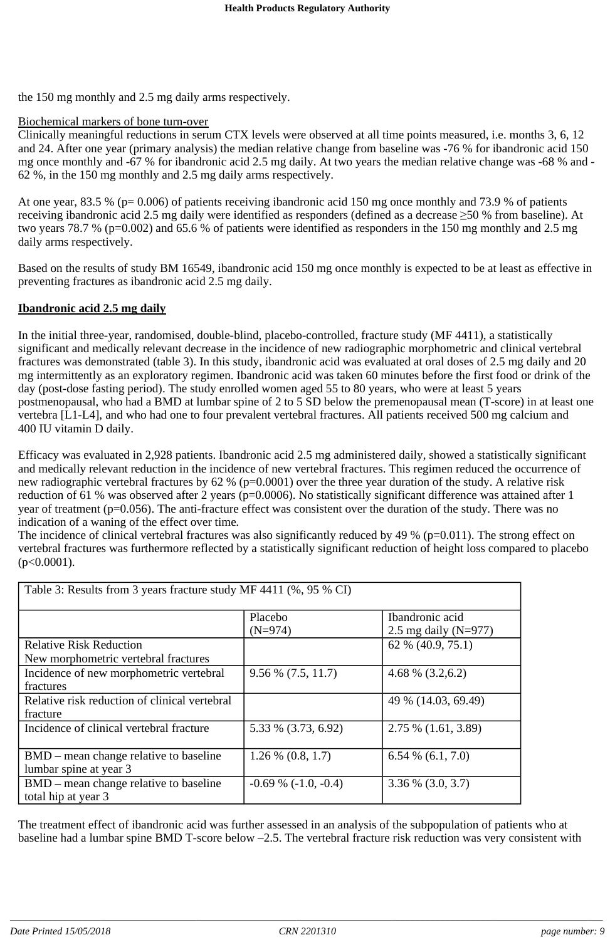the 150 mg monthly and 2.5 mg daily arms respectively.

### Biochemical markers of bone turn-over

Clinically meaningful reductions in serum CTX levels were observed at all time points measured, i.e. months 3, 6, 12 and 24. After one year (primary analysis) the median relative change from baseline was -76 % for ibandronic acid 150 mg once monthly and -67 % for ibandronic acid 2.5 mg daily. At two years the median relative change was -68 % and - 62 %, in the 150 mg monthly and 2.5 mg daily arms respectively.

At one year, 83.5 % (p= 0.006) of patients receiving ibandronic acid 150 mg once monthly and 73.9 % of patients receiving ibandronic acid 2.5 mg daily were identified as responders (defined as a decrease  $\geq$ 50 % from baseline). At two years 78.7 % (p=0.002) and 65.6 % of patients were identified as responders in the 150 mg monthly and 2.5 mg daily arms respectively.

Based on the results of study BM 16549, ibandronic acid 150 mg once monthly is expected to be at least as effective in preventing fractures as ibandronic acid 2.5 mg daily.

### **Ibandronic acid 2.5 mg daily**

In the initial three-year, randomised, double-blind, placebo-controlled, fracture study (MF 4411), a statistically significant and medically relevant decrease in the incidence of new radiographic morphometric and clinical vertebral fractures was demonstrated (table 3). In this study, ibandronic acid was evaluated at oral doses of 2.5 mg daily and 20 mg intermittently as an exploratory regimen. Ibandronic acid was taken 60 minutes before the first food or drink of the day (post-dose fasting period). The study enrolled women aged 55 to 80 years, who were at least 5 years postmenopausal, who had a BMD at lumbar spine of 2 to 5 SD below the premenopausal mean (T-score) in at least one vertebra [L1-L4], and who had one to four prevalent vertebral fractures. All patients received 500 mg calcium and 400 IU vitamin D daily.

Efficacy was evaluated in 2,928 patients. Ibandronic acid 2.5 mg administered daily, showed a statistically significant and medically relevant reduction in the incidence of new vertebral fractures. This regimen reduced the occurrence of new radiographic vertebral fractures by 62 % (p=0.0001) over the three year duration of the study. A relative risk reduction of 61 % was observed after 2 years (p=0.0006). No statistically significant difference was attained after 1 year of treatment (p=0.056). The anti-fracture effect was consistent over the duration of the study. There was no indication of a waning of the effect over time*.*

The incidence of clinical vertebral fractures was also significantly reduced by 49 % ( $p=0.011$ ). The strong effect on vertebral fractures was furthermore reflected by a statistically significant reduction of height loss compared to placebo  $(p<0.0001)$ .

| Table 3: Results from 3 years fracture study MF 4411 (%, 95 % CI)      |                            |                                             |  |  |
|------------------------------------------------------------------------|----------------------------|---------------------------------------------|--|--|
|                                                                        | Placebo<br>$(N=974)$       | Ibandronic acid<br>2.5 mg daily ( $N=977$ ) |  |  |
| <b>Relative Risk Reduction</b><br>New morphometric vertebral fractures |                            | 62 % (40.9, 75.1)                           |  |  |
| Incidence of new morphometric vertebral<br>fractures                   | $9.56\%$ (7.5, 11.7)       | 4.68 % $(3.2,6.2)$                          |  |  |
| Relative risk reduction of clinical vertebral<br>fracture              |                            | 49 % (14.03, 69.49)                         |  |  |
| Incidence of clinical vertebral fracture                               | 5.33 % (3.73, 6.92)        | $2.75\%$ (1.61, 3.89)                       |  |  |
| BMD – mean change relative to baseline<br>lumbar spine at year 3       | $1.26\%$ (0.8, 1.7)        | $6.54\%$ (6.1, 7.0)                         |  |  |
| BMD – mean change relative to baseline<br>total hip at year 3          | $-0.69\%$ ( $-1.0, -0.4$ ) | $3.36\%$ (3.0, 3.7)                         |  |  |

The treatment effect of ibandronic acid was further assessed in an analysis of the subpopulation of patients who at baseline had a lumbar spine BMD T-score below –2.5. The vertebral fracture risk reduction was very consistent with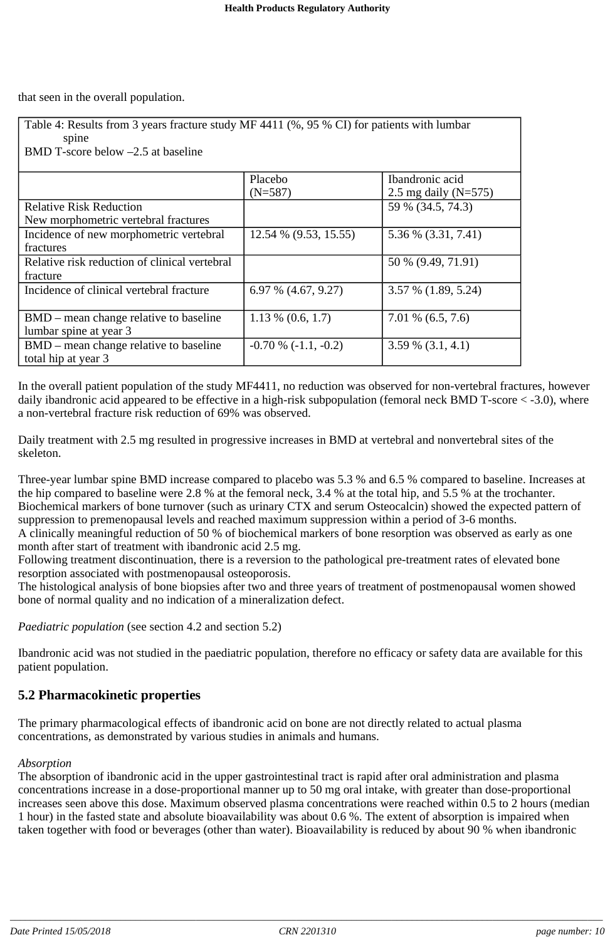that seen in the overall population.

| Table 4: Results from 3 years fracture study MF 4411 (%, 95 % CI) for patients with lumbar<br>spine |                       |                          |  |  |  |
|-----------------------------------------------------------------------------------------------------|-----------------------|--------------------------|--|--|--|
| BMD T-score below $-2.5$ at baseline                                                                |                       |                          |  |  |  |
|                                                                                                     | Placebo               | Ibandronic acid          |  |  |  |
|                                                                                                     | $(N=587)$             | 2.5 mg daily ( $N=575$ ) |  |  |  |
| <b>Relative Risk Reduction</b>                                                                      |                       | 59 % (34.5, 74.3)        |  |  |  |
| New morphometric vertebral fractures                                                                |                       |                          |  |  |  |
| Incidence of new morphometric vertebral                                                             | 12.54 % (9.53, 15.55) | 5.36 % (3.31, 7.41)      |  |  |  |
| fractures                                                                                           |                       |                          |  |  |  |
| Relative risk reduction of clinical vertebral                                                       |                       | 50 % (9.49, 71.91)       |  |  |  |
| fracture                                                                                            |                       |                          |  |  |  |
| Incidence of clinical vertebral fracture                                                            | $6.97\%$ (4.67, 9.27) | $3.57\%$ (1.89, 5.24)    |  |  |  |
| BMD – mean change relative to baseline                                                              | $1.13\%$ (0.6, 1.7)   | $7.01\%$ (6.5, 7.6)      |  |  |  |
| lumbar spine at year 3                                                                              |                       |                          |  |  |  |
| BMD – mean change relative to baseline<br>total hip at year 3                                       | $-0.70\%(-1.1,-0.2)$  | $3.59\%$ (3.1, 4.1)      |  |  |  |

In the overall patient population of the study MF4411, no reduction was observed for non-vertebral fractures, however daily ibandronic acid appeared to be effective in a high-risk subpopulation (femoral neck BMD T-score < -3.0), where a non-vertebral fracture risk reduction of 69% was observed.

Daily treatment with 2.5 mg resulted in progressive increases in BMD at vertebral and nonvertebral sites of the skeleton.

Three-year lumbar spine BMD increase compared to placebo was 5.3 % and 6.5 % compared to baseline. Increases at the hip compared to baseline were 2.8 % at the femoral neck, 3.4 % at the total hip, and 5.5 % at the trochanter. Biochemical markers of bone turnover (such as urinary CTX and serum Osteocalcin) showed the expected pattern of suppression to premenopausal levels and reached maximum suppression within a period of 3-6 months. A clinically meaningful reduction of 50 % of biochemical markers of bone resorption was observed as early as one month after start of treatment with ibandronic acid 2.5 mg.

Following treatment discontinuation, there is a reversion to the pathological pre-treatment rates of elevated bone resorption associated with postmenopausal osteoporosis.

The histological analysis of bone biopsies after two and three years of treatment of postmenopausal women showed bone of normal quality and no indication of a mineralization defect.

*Paediatric population* (see section 4.2 and section 5.2)

Ibandronic acid was not studied in the paediatric population, therefore no efficacy or safety data are available for this patient population.

## **5.2 Pharmacokinetic properties**

The primary pharmacological effects of ibandronic acid on bone are not directly related to actual plasma concentrations, as demonstrated by various studies in animals and humans.

### *Absorption*

The absorption of ibandronic acid in the upper gastrointestinal tract is rapid after oral administration and plasma concentrations increase in a dose-proportional manner up to 50 mg oral intake, with greater than dose-proportional increases seen above this dose. Maximum observed plasma concentrations were reached within 0.5 to 2 hours (median 1 hour) in the fasted state and absolute bioavailability was about 0.6 %. The extent of absorption is impaired when taken together with food or beverages (other than water). Bioavailability is reduced by about 90 % when ibandronic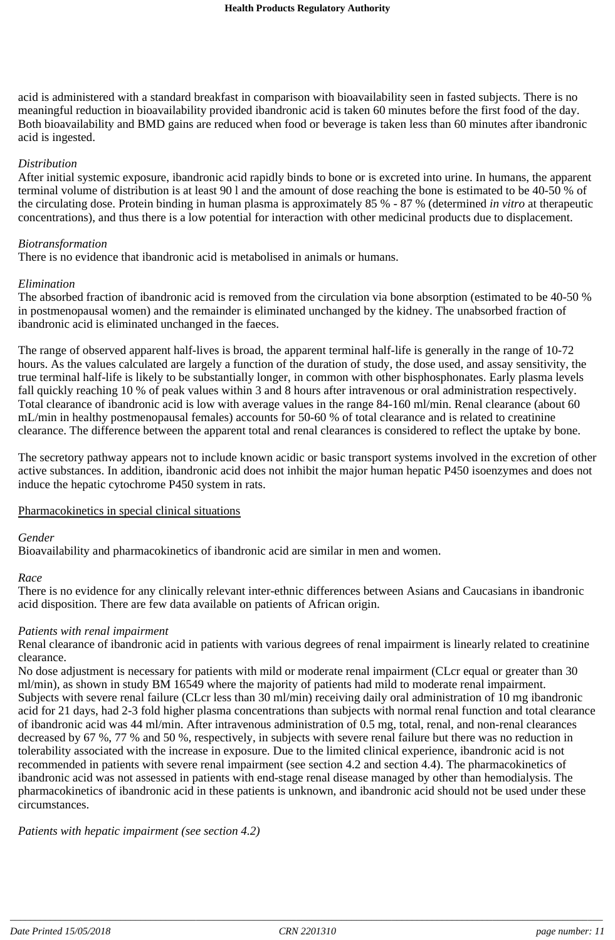acid is administered with a standard breakfast in comparison with bioavailability seen in fasted subjects. There is no meaningful reduction in bioavailability provided ibandronic acid is taken 60 minutes before the first food of the day. Both bioavailability and BMD gains are reduced when food or beverage is taken less than 60 minutes after ibandronic acid is ingested.

#### *Distribution*

After initial systemic exposure, ibandronic acid rapidly binds to bone or is excreted into urine. In humans, the apparent terminal volume of distribution is at least 90 l and the amount of dose reaching the bone is estimated to be 40-50 % of the circulating dose. Protein binding in human plasma is approximately 85 % - 87 % (determined *in vitro* at therapeutic concentrations), and thus there is a low potential for interaction with other medicinal products due to displacement.

#### *Biotransformation*

There is no evidence that ibandronic acid is metabolised in animals or humans.

#### *Elimination*

The absorbed fraction of ibandronic acid is removed from the circulation via bone absorption (estimated to be 40-50 % in postmenopausal women) and the remainder is eliminated unchanged by the kidney. The unabsorbed fraction of ibandronic acid is eliminated unchanged in the faeces.

The range of observed apparent half-lives is broad, the apparent terminal half-life is generally in the range of 10-72 hours. As the values calculated are largely a function of the duration of study, the dose used, and assay sensitivity, the true terminal half-life is likely to be substantially longer, in common with other bisphosphonates. Early plasma levels fall quickly reaching 10 % of peak values within 3 and 8 hours after intravenous or oral administration respectively. Total clearance of ibandronic acid is low with average values in the range 84-160 ml/min. Renal clearance (about 60 mL/min in healthy postmenopausal females) accounts for 50-60 % of total clearance and is related to creatinine clearance. The difference between the apparent total and renal clearances is considered to reflect the uptake by bone.

The secretory pathway appears not to include known acidic or basic transport systems involved in the excretion of other active substances. In addition, ibandronic acid does not inhibit the major human hepatic P450 isoenzymes and does not induce the hepatic cytochrome P450 system in rats.

#### Pharmacokinetics in special clinical situations

#### *Gender*

Bioavailability and pharmacokinetics of ibandronic acid are similar in men and women.

#### *Race*

There is no evidence for any clinically relevant inter-ethnic differences between Asians and Caucasians in ibandronic acid disposition. There are few data available on patients of African origin.

### *Patients with renal impairment*

Renal clearance of ibandronic acid in patients with various degrees of renal impairment is linearly related to creatinine clearance.

No dose adjustment is necessary for patients with mild or moderate renal impairment (CLcr equal or greater than 30 ml/min), as shown in study BM 16549 where the majority of patients had mild to moderate renal impairment. Subjects with severe renal failure (CLcr less than 30 ml/min) receiving daily oral administration of 10 mg ibandronic acid for 21 days, had 2-3 fold higher plasma concentrations than subjects with normal renal function and total clearance of ibandronic acid was 44 ml/min. After intravenous administration of 0.5 mg, total, renal, and non-renal clearances decreased by 67 %, 77 % and 50 %, respectively, in subjects with severe renal failure but there was no reduction in tolerability associated with the increase in exposure. Due to the limited clinical experience, ibandronic acid is not recommended in patients with severe renal impairment (see section 4.2 and section 4.4). The pharmacokinetics of ibandronic acid was not assessed in patients with end-stage renal disease managed by other than hemodialysis. The pharmacokinetics of ibandronic acid in these patients is unknown, and ibandronic acid should not be used under these circumstances.

*Patients with hepatic impairment (see section 4.2)*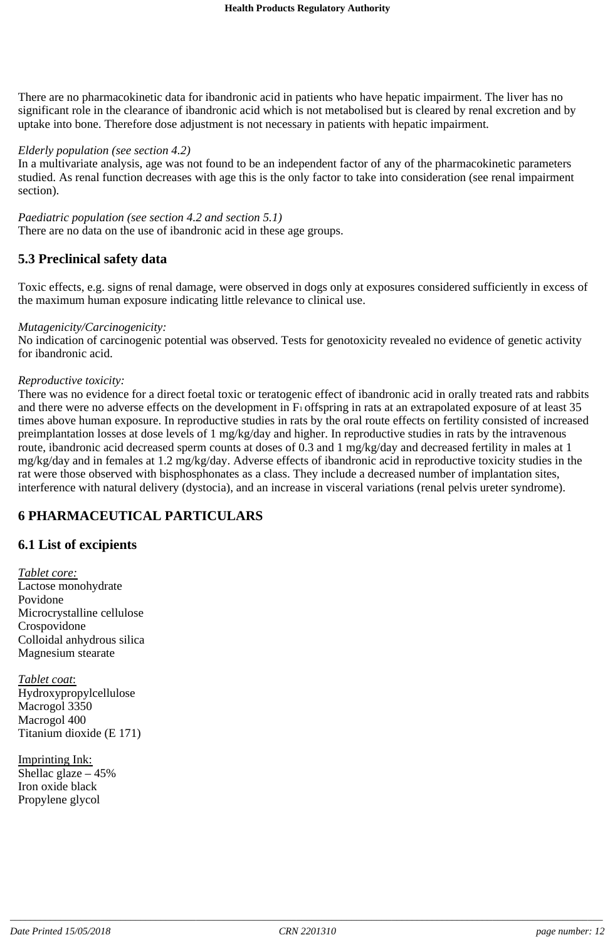There are no pharmacokinetic data for ibandronic acid in patients who have hepatic impairment. The liver has no significant role in the clearance of ibandronic acid which is not metabolised but is cleared by renal excretion and by uptake into bone. Therefore dose adjustment is not necessary in patients with hepatic impairment.

### *Elderly population (see section 4.2)*

In a multivariate analysis, age was not found to be an independent factor of any of the pharmacokinetic parameters studied. As renal function decreases with age this is the only factor to take into consideration (see renal impairment section).

*Paediatric population (see section 4.2 and section 5.1)* There are no data on the use of ibandronic acid in these age groups.

### **5.3 Preclinical safety data**

Toxic effects, e.g. signs of renal damage, were observed in dogs only at exposures considered sufficiently in excess of the maximum human exposure indicating little relevance to clinical use.

### *Mutagenicity/Carcinogenicity:*

No indication of carcinogenic potential was observed. Tests for genotoxicity revealed no evidence of genetic activity for ibandronic acid.

#### *Reproductive toxicity:*

There was no evidence for a direct foetal toxic or teratogenic effect of ibandronic acid in orally treated rats and rabbits and there were no adverse effects on the development in  $F_1$  offspring in rats at an extrapolated exposure of at least 35 times above human exposure. In reproductive studies in rats by the oral route effects on fertility consisted of increased preimplantation losses at dose levels of 1 mg/kg/day and higher. In reproductive studies in rats by the intravenous route, ibandronic acid decreased sperm counts at doses of 0.3 and 1 mg/kg/day and decreased fertility in males at 1 mg/kg/day and in females at 1.2 mg/kg/day. Adverse effects of ibandronic acid in reproductive toxicity studies in the rat were those observed with bisphosphonates as a class. They include a decreased number of implantation sites, interference with natural delivery (dystocia), and an increase in visceral variations (renal pelvis ureter syndrome).

### **6 PHARMACEUTICAL PARTICULARS**

### **6.1 List of excipients**

*Tablet core:* Lactose monohydrate Povidone Microcrystalline cellulose Crospovidone Colloidal anhydrous silica Magnesium stearate

*Tablet coat*: Hydroxypropylcellulose Macrogol 3350 Macrogol 400 Titanium dioxide (E 171)

Imprinting Ink: Shellac glaze  $-45%$ Iron oxide black Propylene glycol